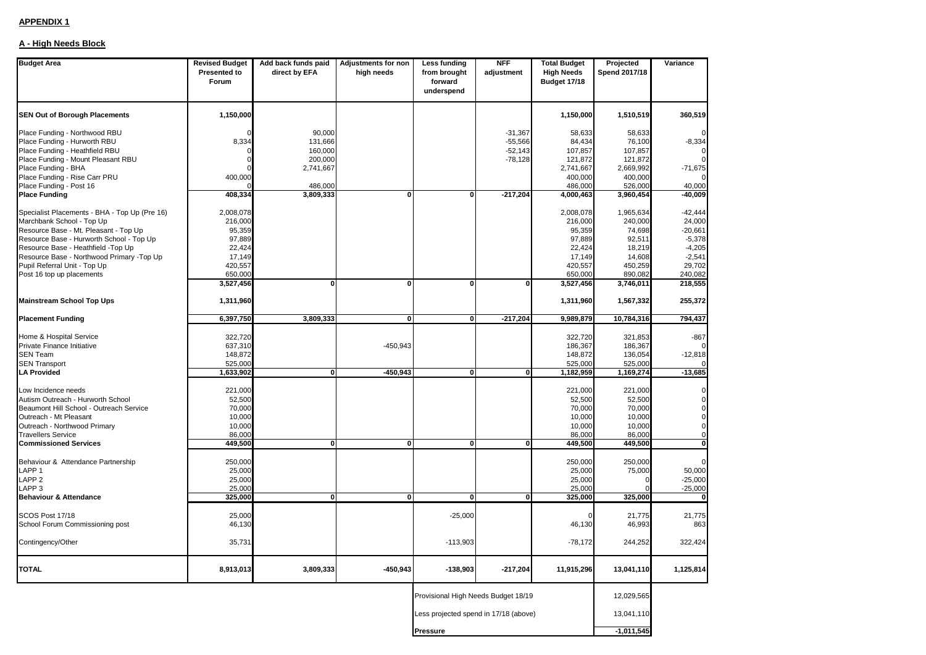# **APPENDIX 1**

# **A - High Needs Block**

| <b>Budget Area</b>                                       | <b>Revised Budget</b><br><b>Presented to</b><br>Forum | Add back funds paid<br>direct by EFA | <b>Adjustments for non</b><br>high needs | Less funding<br>from brought<br>forward<br>underspend | <b>NFF</b><br>adjustment | <b>Total Budget</b><br><b>High Needs</b><br>Budget 17/18 | Projected<br>Spend 2017/18 | Variance            |
|----------------------------------------------------------|-------------------------------------------------------|--------------------------------------|------------------------------------------|-------------------------------------------------------|--------------------------|----------------------------------------------------------|----------------------------|---------------------|
| <b>SEN Out of Borough Placements</b>                     | 1,150,000                                             |                                      |                                          |                                                       |                          | 1,150,000                                                | 1,510,519                  | 360,519             |
| Place Funding - Northwood RBU                            |                                                       | 90,000                               |                                          |                                                       | $-31,367$                | 58,633                                                   | 58,633                     |                     |
| Place Funding - Hurworth RBU                             | 8,334                                                 | 131,666                              |                                          |                                                       | $-55,566$                | 84,434                                                   | 76,100                     | $-8,334$            |
| Place Funding - Heathfield RBU                           |                                                       | 160,000                              |                                          |                                                       | $-52,143$                | 107,857                                                  | 107,857                    |                     |
| Place Funding - Mount Pleasant RBU                       |                                                       | 200,000                              |                                          |                                                       | $-78,128$                | 121,872                                                  | 121,872                    |                     |
| Place Funding - BHA                                      |                                                       | 2,741,667                            |                                          |                                                       |                          | 2,741,667                                                | 2,669,992                  | $-71,675$           |
| Place Funding - Rise Carr PRU<br>Place Funding - Post 16 | 400,000                                               |                                      |                                          |                                                       |                          | 400,000<br>486,000                                       | 400,000                    |                     |
| <b>Place Funding</b>                                     | 408,334                                               | 486,000<br>3,809,333                 | 0                                        | $\mathbf{0}$                                          | $-217,204$               | 4,000,463                                                | 526,000<br>3,960,454       | 40,000<br>$-40,009$ |
|                                                          |                                                       |                                      |                                          |                                                       |                          |                                                          |                            |                     |
| Specialist Placements - BHA - Top Up (Pre 16)            | 2,008,078                                             |                                      |                                          |                                                       |                          | 2,008,078                                                | 1,965,634                  | $-42,444$           |
| Marchbank School - Top Up                                | 216,000                                               |                                      |                                          |                                                       |                          | 216,000                                                  | 240,000                    | 24,000              |
| Resource Base - Mt. Pleasant - Top Up                    | 95,359                                                |                                      |                                          |                                                       |                          | 95,359                                                   | 74,698                     | $-20,661$           |
| Resource Base - Hurworth School - Top Up                 | 97,889                                                |                                      |                                          |                                                       |                          | 97,889                                                   | 92,511                     | $-5,378$            |
| Resource Base - Heathfield -Top Up                       | 22,424                                                |                                      |                                          |                                                       |                          | 22,424                                                   | 18,219                     | $-4,205$            |
| Resource Base - Northwood Primary -Top Up                | 17,149                                                |                                      |                                          |                                                       |                          | 17,149                                                   | 14,608                     | $-2,541$            |
| Pupil Referral Unit - Top Up                             | 420,557                                               |                                      |                                          |                                                       |                          | 420,557                                                  | 450,259                    | 29,702              |
| Post 16 top up placements                                | 650,000<br>3,527,456                                  | O                                    | 0                                        | $\bf{0}$                                              | $\Omega$                 | 650,000<br>3,527,456                                     | 890,082<br>3,746,011       | 240,082<br>218,555  |
| Mainstream School Top Ups                                | 1,311,960                                             |                                      |                                          |                                                       |                          | 1,311,960                                                | 1,567,332                  | 255,372             |
| <b>Placement Funding</b>                                 | 6,397,750                                             | 3,809,333                            | $\mathbf{0}$                             | $\mathbf{0}$                                          | $-217,204$               | 9,989,879                                                | 10,784,316                 | 794,437             |
|                                                          |                                                       |                                      |                                          |                                                       |                          |                                                          |                            |                     |
| Home & Hospital Service                                  | 322,720                                               |                                      |                                          |                                                       |                          | 322,720                                                  | 321,853                    | -867                |
| Private Finance Initiative<br>SEN Team                   | 637,310<br>148,872                                    |                                      | -450,943                                 |                                                       |                          | 186,367<br>148,872                                       | 186,367<br>136,054         | $-12,818$           |
| <b>SEN Transport</b>                                     | 525,000                                               |                                      |                                          |                                                       |                          | 525,000                                                  | 525,000                    |                     |
| <b>LA Provided</b>                                       | 1,633,902                                             | $\mathbf{0}$                         | -450,943                                 | $\mathbf{0}$                                          | $\mathbf 0$              | 1,182,959                                                | 1,169,274                  | $-13,685$           |
|                                                          |                                                       |                                      |                                          |                                                       |                          |                                                          |                            |                     |
| Low Incidence needs                                      | 221,000                                               |                                      |                                          |                                                       |                          | 221,000                                                  | 221,000                    |                     |
| Autism Outreach - Hurworth School                        | 52,500                                                |                                      |                                          |                                                       |                          | 52,500                                                   | 52,500                     |                     |
| Beaumont Hill School - Outreach Service                  | 70,000                                                |                                      |                                          |                                                       |                          | 70,000                                                   | 70,000                     |                     |
| Outreach - Mt Pleasant                                   | 10,000                                                |                                      |                                          |                                                       |                          | 10,000                                                   | 10,000                     |                     |
| Outreach - Northwood Primary<br>Travellers Service       | 10,000<br>86,000                                      |                                      |                                          |                                                       |                          | 10,000<br>86,000                                         | 10,000<br>86,000           |                     |
| <b>Commissioned Services</b>                             | 449,500                                               | $\mathbf{0}$                         | $\mathbf{0}$                             | $\mathbf{0}$                                          | $\mathbf{0}$             | 449,500                                                  | 449,500                    | $\bf{0}$            |
|                                                          |                                                       |                                      |                                          |                                                       |                          |                                                          |                            |                     |
| Behaviour & Attendance Partnership                       | 250,000                                               |                                      |                                          |                                                       |                          | 250,000                                                  | 250,000                    | $\Omega$            |
| LAPP 1                                                   | 25,000                                                |                                      |                                          |                                                       |                          | 25,000                                                   | 75,000                     | 50,000              |
| LAPP <sub>2</sub>                                        | 25,000                                                |                                      |                                          |                                                       |                          | 25,000                                                   |                            | $-25,000$           |
| LAPP <sub>3</sub>                                        | 25,000                                                |                                      |                                          |                                                       |                          | 25,000                                                   |                            | $-25,000$           |
| <b>Behaviour &amp; Attendance</b>                        | 325,000                                               | 0                                    | $\mathbf{0}$                             | $\bf{0}$                                              | 0                        | 325,000                                                  | 325,000                    |                     |
| SCOS Post 17/18                                          | 25,000                                                |                                      |                                          | $-25,000$                                             |                          |                                                          | 21,775                     |                     |
| School Forum Commissioning post                          | 46,130                                                |                                      |                                          |                                                       |                          | 46,130                                                   | 46,993                     | 21,775<br>863       |
|                                                          |                                                       |                                      |                                          |                                                       |                          |                                                          |                            |                     |
| Contingency/Other                                        | 35,731                                                |                                      |                                          | $-113,903$                                            |                          | $-78,172$                                                | 244,252                    | 322,424             |
| TOTAL                                                    | 8,913,013                                             | 3,809,333                            | $-450,943$                               | -138,903                                              | $-217,204$               | 11,915,296                                               | 13,041,110                 | 1,125,814           |
|                                                          |                                                       |                                      |                                          | Provisional High Needs Budget 18/19                   |                          |                                                          | 12,029,565                 |                     |
|                                                          |                                                       |                                      |                                          | Less projected spend in 17/18 (above)                 |                          |                                                          | 13,041,110                 |                     |
|                                                          |                                                       |                                      |                                          |                                                       |                          |                                                          |                            |                     |
| <b>Pressure</b>                                          |                                                       |                                      |                                          |                                                       |                          | $-1,011,545$                                             |                            |                     |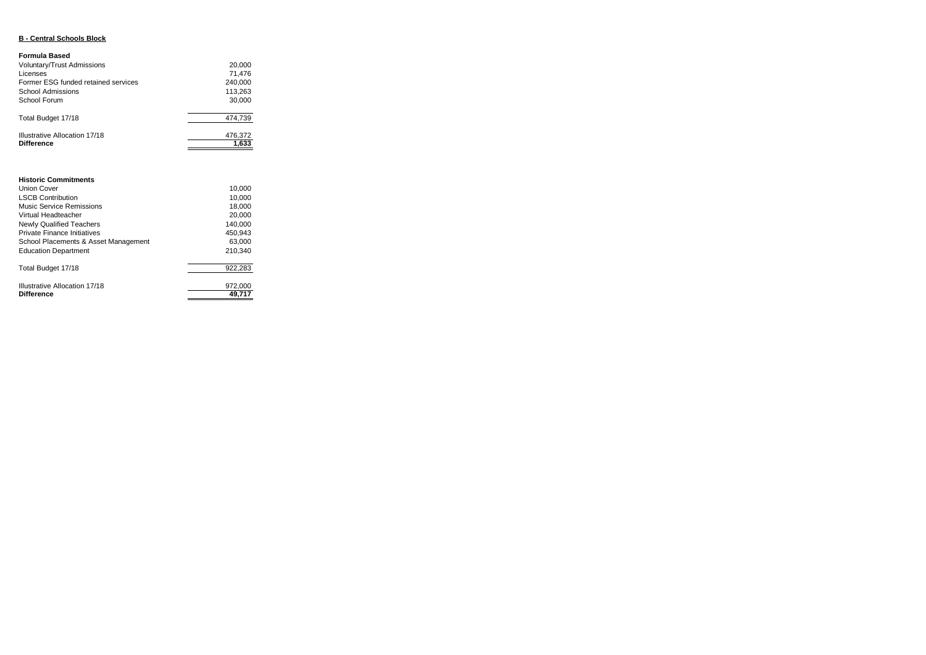### **B - Central Schools Block**

#### **Formula Based**

| Voluntary/Trust Admissions<br>Licenses | 20,000<br>71.476 |
|----------------------------------------|------------------|
| Former ESG funded retained services    | 240.000          |
| School Admissions                      | 113,263          |
| School Forum                           | 30,000           |
| Total Budget 17/18                     | 474.739          |
| Illustrative Allocation 17/18          | 476,372          |
| <b>Difference</b>                      | 1,633            |

| <b>Historic Commitments</b>          |         |
|--------------------------------------|---------|
| <b>Union Cover</b>                   | 10.000  |
| <b>LSCB Contribution</b>             | 10,000  |
| Music Service Remissions             | 18.000  |
| Virtual Headteacher                  | 20,000  |
| <b>Newly Qualified Teachers</b>      | 140.000 |
| <b>Private Finance Initiatives</b>   | 450.943 |
| School Placements & Asset Management | 63.000  |

| <b>Education Department</b>                        | 210.340           |
|----------------------------------------------------|-------------------|
| Total Budget 17/18                                 | 922.283           |
| Illustrative Allocation 17/18<br><b>Difference</b> | 972.000<br>49.717 |